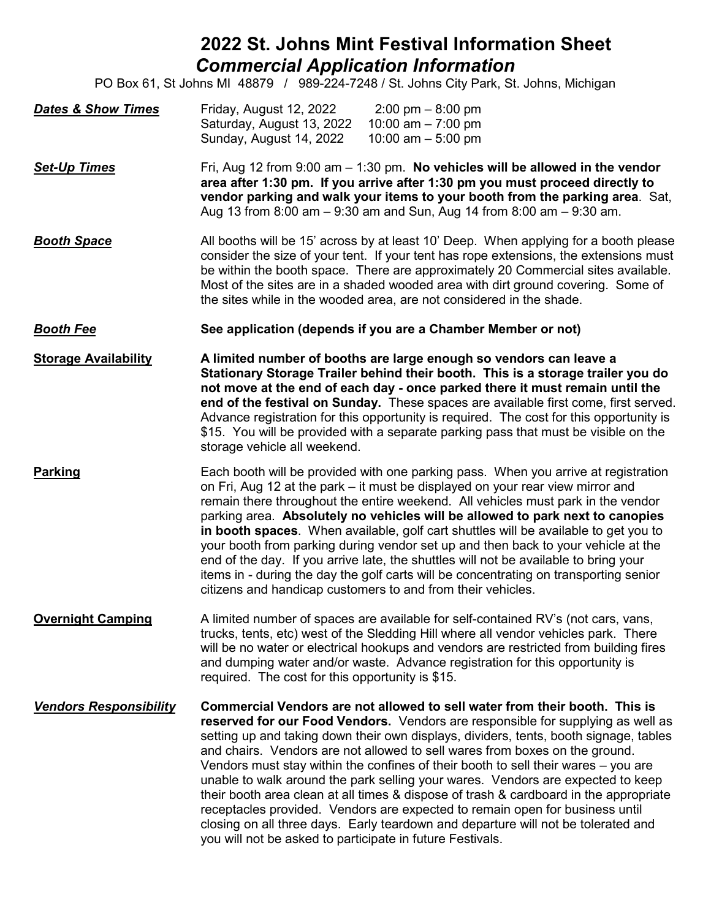## **2022 St. Johns Mint Festival Information Sheet** *Commercial Application Information*

PO Box 61, St Johns MI 48879 / 989-224-7248 / St. Johns City Park, St. Johns, Michigan

| <b>Dates &amp; Show Times</b> | Friday, August 12, 2022<br>$2:00 \text{ pm} - 8:00 \text{ pm}$<br>10:00 am $- 7:00$ pm<br>Saturday, August 13, 2022<br>10:00 am $-$ 5:00 pm<br>Sunday, August 14, 2022                                                                                                                                                                                                                                                                                                                                                                                                                                                                                                                                                                                                       |
|-------------------------------|------------------------------------------------------------------------------------------------------------------------------------------------------------------------------------------------------------------------------------------------------------------------------------------------------------------------------------------------------------------------------------------------------------------------------------------------------------------------------------------------------------------------------------------------------------------------------------------------------------------------------------------------------------------------------------------------------------------------------------------------------------------------------|
| <b>Set-Up Times</b>           | Fri, Aug 12 from 9:00 am $-$ 1:30 pm. No vehicles will be allowed in the vendor<br>area after 1:30 pm. If you arrive after 1:30 pm you must proceed directly to<br>vendor parking and walk your items to your booth from the parking area. Sat,<br>Aug 13 from 8:00 am - 9:30 am and Sun, Aug 14 from 8:00 am - 9:30 am.                                                                                                                                                                                                                                                                                                                                                                                                                                                     |
| <b>Booth Space</b>            | All booths will be 15' across by at least 10' Deep. When applying for a booth please<br>consider the size of your tent. If your tent has rope extensions, the extensions must<br>be within the booth space. There are approximately 20 Commercial sites available.<br>Most of the sites are in a shaded wooded area with dirt ground covering. Some of<br>the sites while in the wooded area, are not considered in the shade.                                                                                                                                                                                                                                                                                                                                               |
| <b>Booth Fee</b>              | See application (depends if you are a Chamber Member or not)                                                                                                                                                                                                                                                                                                                                                                                                                                                                                                                                                                                                                                                                                                                 |
| <b>Storage Availability</b>   | A limited number of booths are large enough so vendors can leave a<br>Stationary Storage Trailer behind their booth. This is a storage trailer you do<br>not move at the end of each day - once parked there it must remain until the<br>end of the festival on Sunday. These spaces are available first come, first served.<br>Advance registration for this opportunity is required. The cost for this opportunity is<br>\$15. You will be provided with a separate parking pass that must be visible on the<br>storage vehicle all weekend.                                                                                                                                                                                                                               |
| <b>Parking</b>                | Each booth will be provided with one parking pass. When you arrive at registration<br>on Fri, Aug 12 at the park – it must be displayed on your rear view mirror and<br>remain there throughout the entire weekend. All vehicles must park in the vendor<br>parking area. Absolutely no vehicles will be allowed to park next to canopies<br>in booth spaces. When available, golf cart shuttles will be available to get you to<br>your booth from parking during vendor set up and then back to your vehicle at the<br>end of the day. If you arrive late, the shuttles will not be available to bring your<br>items in - during the day the golf carts will be concentrating on transporting senior<br>citizens and handicap customers to and from their vehicles.        |
| <b>Overnight Camping</b>      | A limited number of spaces are available for self-contained RV's (not cars, vans,<br>trucks, tents, etc) west of the Sledding Hill where all vendor vehicles park. There<br>will be no water or electrical hookups and vendors are restricted from building fires<br>and dumping water and/or waste. Advance registration for this opportunity is<br>required. The cost for this opportunity is \$15.                                                                                                                                                                                                                                                                                                                                                                        |
| <b>Vendors Responsibility</b> | Commercial Vendors are not allowed to sell water from their booth. This is<br>reserved for our Food Vendors. Vendors are responsible for supplying as well as<br>setting up and taking down their own displays, dividers, tents, booth signage, tables<br>and chairs. Vendors are not allowed to sell wares from boxes on the ground.<br>Vendors must stay within the confines of their booth to sell their wares – you are<br>unable to walk around the park selling your wares. Vendors are expected to keep<br>their booth area clean at all times & dispose of trash & cardboard in the appropriate<br>receptacles provided. Vendors are expected to remain open for business until<br>closing on all three days. Early teardown and departure will not be tolerated and |

you will not be asked to participate in future Festivals.